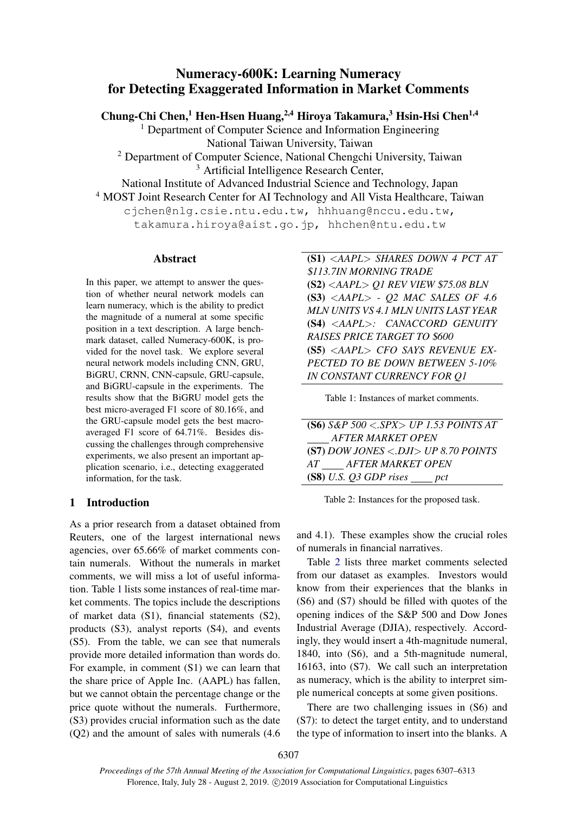# Numeracy-600K: Learning Numeracy for Detecting Exaggerated Information in Market Comments

Chung-Chi Chen,<sup>1</sup> Hen-Hsen Huang,<sup>2,4</sup> Hiroya Takamura,<sup>3</sup> Hsin-Hsi Chen<sup>1,4</sup>

<sup>1</sup> Department of Computer Science and Information Engineering National Taiwan University, Taiwan

<sup>2</sup> Department of Computer Science, National Chengchi University, Taiwan <sup>3</sup> Artificial Intelligence Research Center,

National Institute of Advanced Industrial Science and Technology, Japan

<sup>4</sup> MOST Joint Research Center for AI Technology and All Vista Healthcare, Taiwan

cjchen@nlg.csie.ntu.edu.tw, hhhuang@nccu.edu.tw, takamura.hiroya@aist.go.jp, hhchen@ntu.edu.tw

### Abstract

In this paper, we attempt to answer the question of whether neural network models can learn numeracy, which is the ability to predict the magnitude of a numeral at some specific position in a text description. A large benchmark dataset, called Numeracy-600K, is provided for the novel task. We explore several neural network models including CNN, GRU, BiGRU, CRNN, CNN-capsule, GRU-capsule, and BiGRU-capsule in the experiments. The results show that the BiGRU model gets the best micro-averaged F1 score of 80.16%, and the GRU-capsule model gets the best macroaveraged F1 score of 64.71%. Besides discussing the challenges through comprehensive experiments, we also present an important application scenario, i.e., detecting exaggerated information, for the task.

## 1 Introduction

As a prior research from a dataset obtained from Reuters, one of the largest international news agencies, over 65.66% of market comments contain numerals. Without the numerals in market comments, we will miss a lot of useful information. Table [1](#page-0-0) lists some instances of real-time market comments. The topics include the descriptions of market data (S1), financial statements (S2), products (S3), analyst reports (S4), and events (S5). From the table, we can see that numerals provide more detailed information than words do. For example, in comment (S1) we can learn that the share price of Apple Inc. (AAPL) has fallen, but we cannot obtain the percentage change or the price quote without the numerals. Furthermore, (S3) provides crucial information such as the date (Q2) and the amount of sales with numerals (4.6 <span id="page-0-0"></span>(S1) <*AAPL*> *SHARES DOWN 4 PCT AT* \$*113.7IN MORNING TRADE* (S2) <*AAPL*> *Q1 REV VIEW* \$*75.08 BLN* (S3) <*AAPL*> *- Q2 MAC SALES OF 4.6 MLN UNITS VS 4.1 MLN UNITS LAST YEAR* (S4) <*AAPL*>*: CANACCORD GENUITY RAISES PRICE TARGET TO* \$*600* (S5) <*AAPL*> *CFO SAYS REVENUE EX-PECTED TO BE DOWN BETWEEN 5-10% IN CONSTANT CURRENCY FOR Q1*

Table 1: Instances of market comments.

<span id="page-0-1"></span>(S6) *S&P 500* <*.SPX*> *UP 1.53 POINTS AT AFTER MARKET OPEN* (S7) *DOW JONES* <*.DJI*> *UP 8.70 POINTS AT AFTER MARKET OPEN* (S8) *U.S. Q3 GDP rises pct*

Table 2: Instances for the proposed task.

and 4.1). These examples show the crucial roles of numerals in financial narratives.

Table [2](#page-0-1) lists three market comments selected from our dataset as examples. Investors would know from their experiences that the blanks in (S6) and (S7) should be filled with quotes of the opening indices of the S&P 500 and Dow Jones Industrial Average (DJIA), respectively. Accordingly, they would insert a 4th-magnitude numeral, 1840, into (S6), and a 5th-magnitude numeral, 16163, into (S7). We call such an interpretation as numeracy, which is the ability to interpret simple numerical concepts at some given positions.

There are two challenging issues in (S6) and (S7): to detect the target entity, and to understand the type of information to insert into the blanks. A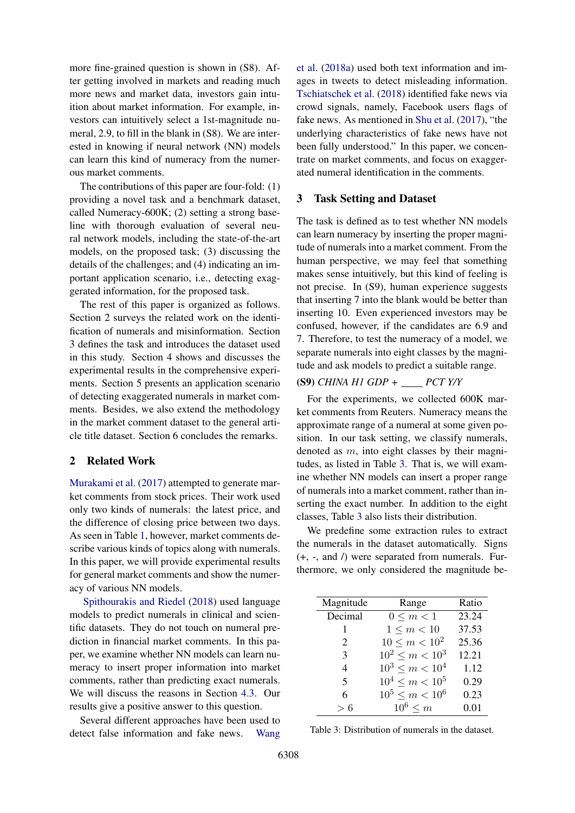more fine-grained question is shown in (S8). After getting involved in markets and reading much more news and market data, investors gain intuition about market information. For example, investors can intuitively select a 1st-magnitude numeral, 2.9, to fill in the blank in (S8). We are interested in knowing if neural network (NN) models can learn this kind of numeracy from the numerous market comments.

The contributions of this paper are four-fold: (1) providing a novel task and a benchmark dataset, called Numeracy-600K; (2) setting a strong baseline with thorough evaluation of several neural network models, including the state-of-the-art models, on the proposed task; (3) discussing the details of the challenges; and (4) indicating an important application scenario, i.e., detecting exaggerated information, for the proposed task.

The rest of this paper is organized as follows. Section 2 surveys the related work on the identification of numerals and misinformation. Section 3 defines the task and introduces the dataset used in this study. Section 4 shows and discusses the experimental results in the comprehensive experiments. Section 5 presents an application scenario of detecting exaggerated numerals in market comments. Besides, we also extend the methodology in the market comment dataset to the general article title dataset. Section 6 concludes the remarks.

## 2 Related Work

[Murakami et al.](#page-5-0) [\(2017\)](#page-5-0) attempted to generate market comments from stock prices. Their work used only two kinds of numerals: the latest price, and the difference of closing price between two days. As seen in Table [1,](#page-0-0) however, market comments describe various kinds of topics along with numerals. In this paper, we will provide experimental results for general market comments and show the numeracy of various NN models.

[Spithourakis and Riedel](#page-5-1) [\(2018\)](#page-5-1) used language models to predict numerals in clinical and scientific datasets. They do not touch on numeral prediction in financial market comments. In this paper, we examine whether NN models can learn numeracy to insert proper information into market comments, rather than predicting exact numerals. We will discuss the reasons in Section [4.3.](#page-2-0) Our results give a positive answer to this question.

Several different approaches have been used to detect false information and fake news. [Wang](#page-5-2)

[et al.](#page-5-2) [\(2018a\)](#page-5-2) used both text information and images in tweets to detect misleading information. [Tschiatschek et al.](#page-5-3) [\(2018\)](#page-5-3) identified fake news via crowd signals, namely, Facebook users flags of fake news. As mentioned in [Shu et al.](#page-5-4) [\(2017\)](#page-5-4), "the underlying characteristics of fake news have not been fully understood." In this paper, we concentrate on market comments, and focus on exaggerated numeral identification in the comments.

## 3 Task Setting and Dataset

The task is defined as to test whether NN models can learn numeracy by inserting the proper magnitude of numerals into a market comment. From the human perspective, we may feel that something makes sense intuitively, but this kind of feeling is not precise. In (S9), human experience suggests that inserting 7 into the blank would be better than inserting 10. Even experienced investors may be confused, however, if the candidates are 6.9 and 7. Therefore, to test the numeracy of a model, we separate numerals into eight classes by the magnitude and ask models to predict a suitable range.

# (S9) *CHINA H1 GDP + PCT Y/Y*

For the experiments, we collected 600K market comments from Reuters. Numeracy means the approximate range of a numeral at some given position. In our task setting, we classify numerals, denoted as m, into eight classes by their magnitudes, as listed in Table [3.](#page-1-0) That is, we will examine whether NN models can insert a proper range of numerals into a market comment, rather than inserting the exact number. In addition to the eight classes, Table [3](#page-1-0) also lists their distribution.

We predefine some extraction rules to extract the numerals in the dataset automatically. Signs (+, -, and /) were separated from numerals. Furthermore, we only considered the magnitude be-

<span id="page-1-0"></span>

| Magnitude                | Range               | Ratio |
|--------------------------|---------------------|-------|
| Decimal                  | $0 \le m < 1$       | 23.24 |
| 1                        | $1 \le m < 10$      | 37.53 |
| 2                        | $10 \le m < 10^2$   | 25.36 |
| 3                        | $10^2 \le m < 10^3$ | 12.21 |
| 4                        | $10^3 \le m < 10^4$ | 1.12  |
| $\overline{\mathcal{L}}$ | $10^4 \le m < 10^5$ | 0.29  |
| 6                        | $10^5 \le m < 10^6$ | 0.23  |
| > 6                      | $10^6 \le m$        | 0.01  |

Table 3: Distribution of numerals in the dataset.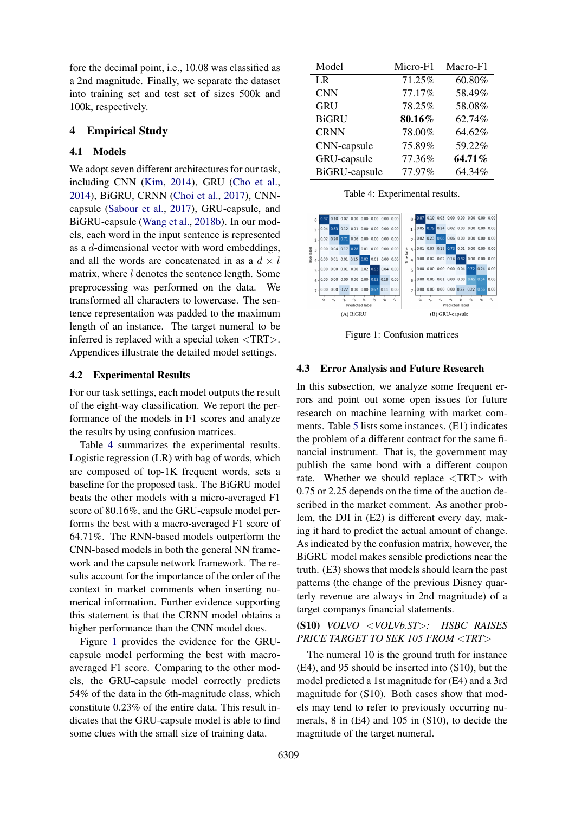fore the decimal point, i.e., 10.08 was classified as a 2nd magnitude. Finally, we separate the dataset into training set and test set of sizes 500k and 100k, respectively.

### 4 Empirical Study

## 4.1 Models

We adopt seven different architectures for our task, including CNN [\(Kim,](#page-5-5) [2014\)](#page-5-5), GRU [\(Cho et al.,](#page-5-6) [2014\)](#page-5-6), BiGRU, CRNN [\(Choi et al.,](#page-5-7) [2017\)](#page-5-7), CNNcapsule [\(Sabour et al.,](#page-5-8) [2017\)](#page-5-8), GRU-capsule, and BiGRU-capsule [\(Wang et al.,](#page-5-9) [2018b\)](#page-5-9). In our models, each word in the input sentence is represented as a d-dimensional vector with word embeddings, and all the words are concatenated in as a  $d \times l$ matrix, where l denotes the sentence length. Some preprocessing was performed on the data. We transformed all characters to lowercase. The sentence representation was padded to the maximum length of an instance. The target numeral to be inferred is replaced with a special token <TRT>. Appendices illustrate the detailed model settings.

### 4.2 Experimental Results

For our task settings, each model outputs the result of the eight-way classification. We report the performance of the models in F1 scores and analyze the results by using confusion matrices.

Table [4](#page-2-1) summarizes the experimental results. Logistic regression (LR) with bag of words, which are composed of top-1K frequent words, sets a baseline for the proposed task. The BiGRU model beats the other models with a micro-averaged F1 score of 80.16%, and the GRU-capsule model performs the best with a macro-averaged F1 score of 64.71%. The RNN-based models outperform the CNN-based models in both the general NN framework and the capsule network framework. The results account for the importance of the order of the context in market comments when inserting numerical information. Further evidence supporting this statement is that the CRNN model obtains a higher performance than the CNN model does.

Figure [1](#page-2-2) provides the evidence for the GRUcapsule model performing the best with macroaveraged F1 score. Comparing to the other models, the GRU-capsule model correctly predicts 54% of the data in the 6th-magnitude class, which constitute 0.23% of the entire data. This result indicates that the GRU-capsule model is able to find some clues with the small size of training data.

<span id="page-2-1"></span>

| Model                | Micro-F1 | Macro-F1 |
|----------------------|----------|----------|
| LR                   | 71.25%   | 60.80%   |
| <b>CNN</b>           | 77.17%   | 58.49%   |
| <b>GRU</b>           | 78.25%   | 58.08%   |
| <b>BiGRU</b>         | 80.16%   | 62.74%   |
| <b>CRNN</b>          | 78.00%   | 64.62%   |
| CNN-capsule          | 75.89%   | 59.22%   |
| GRU-capsule          | 77.36%   | 64.71%   |
| <b>BiGRU-capsule</b> | 77.97%   | 64.34%   |

Table 4: Experimental results.

<span id="page-2-2"></span>

Figure 1: Confusion matrices

### <span id="page-2-0"></span>4.3 Error Analysis and Future Research

In this subsection, we analyze some frequent errors and point out some open issues for future research on machine learning with market comments. Table [5](#page-3-0) lists some instances. (E1) indicates the problem of a different contract for the same financial instrument. That is, the government may publish the same bond with a different coupon rate. Whether we should replace <TRT> with 0.75 or 2.25 depends on the time of the auction described in the market comment. As another problem, the DJI in (E2) is different every day, making it hard to predict the actual amount of change. As indicated by the confusion matrix, however, the BiGRU model makes sensible predictions near the truth. (E3) shows that models should learn the past patterns (the change of the previous Disney quarterly revenue are always in 2nd magnitude) of a target companys financial statements.

## (S10) *VOLVO* <*VOLVb.ST*>*: HSBC RAISES PRICE TARGET TO SEK 105 FROM* <*TRT*>

The numeral 10 is the ground truth for instance (E4), and 95 should be inserted into (S10), but the model predicted a 1st magnitude for (E4) and a 3rd magnitude for (S10). Both cases show that models may tend to refer to previously occurring numerals, 8 in (E4) and 105 in (S10), to decide the magnitude of the target numeral.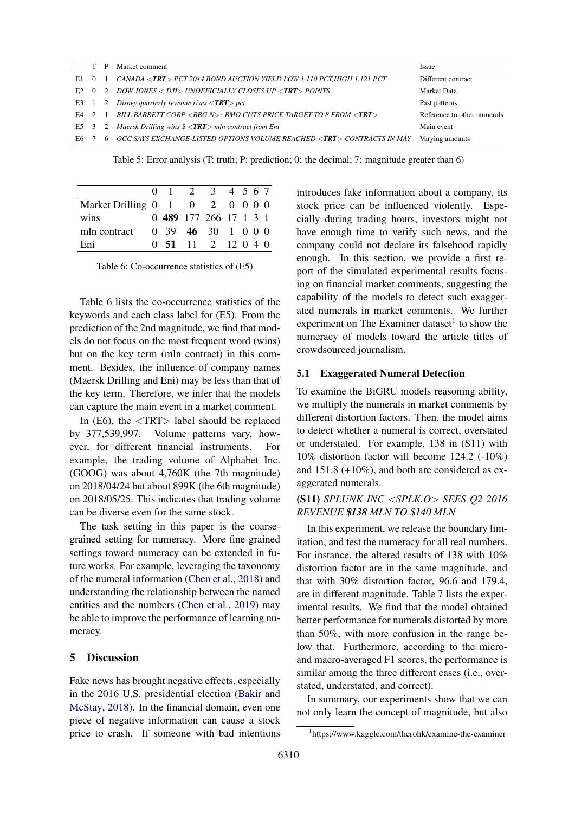<span id="page-3-0"></span>

|     |     |                   | Market comment                                                                                 | <i>Issue</i>                |
|-----|-----|-------------------|------------------------------------------------------------------------------------------------|-----------------------------|
| E1. |     |                   | CANADA <trt> PCT 2014 BOND AUCTION YIELD LOW 1.110 PCT, HIGH 1.121 PCT</trt>                   | Different contract          |
| E2. |     | $\cdot$ 2 $\cdot$ | DOW JONES <.DJI> UNOFFICIALLY CLOSES UP < <b>TRT</b> > POINTS                                  | Market Data                 |
| E3  |     | 2                 | Disney quarterly revenue rises $\langle TRT \rangle$ pct                                       | Past patterns               |
| F4. | 2 1 |                   | BILL BARRETT CORP <bbg.n>: BMO CUTS PRICE TARGET TO 8 FROM <trt></trt></bbg.n>                 | Reference to other numerals |
| E5  |     |                   | 3 2 Maersk Drilling wins $\frac{\mathcal{L}}{\mathcal{L}}$ $\mathcal{L}$ mln contract from Eni | Main event                  |
| E6. |     | 6                 | OCC SAYS EXCHANGE-LISTED OPTIONS VOLUME REACHED <trt> CONTRACTS IN MAY</trt>                   | Varying amounts             |

Table 5: Error analysis (T: truth; P: prediction; 0: the decimal; 7: magnitude greater than 6)

<span id="page-3-1"></span>

|                                                                     | $0 \quad 1 \quad 2 \quad 3 \quad 4 \quad 5 \quad 6 \quad 7$   |  |  |  |
|---------------------------------------------------------------------|---------------------------------------------------------------|--|--|--|
| Market Drilling $0 \quad 1 \quad 0 \quad 2 \quad 0 \quad 0 \quad 0$ |                                                               |  |  |  |
| wins                                                                | 0 489 177 266 17 1 3 1                                        |  |  |  |
| mln contract                                                        | 0, 39, 46, 30, 1, 0, 0, 0                                     |  |  |  |
| Eni                                                                 | $0\quad 51 \quad 11 \quad 2 \quad 12 \quad 0 \quad 4 \quad 0$ |  |  |  |

Table 6: Co-occurrence statistics of (E5)

Table [6](#page-3-1) lists the co-occurrence statistics of the keywords and each class label for (E5). From the prediction of the 2nd magnitude, we find that models do not focus on the most frequent word (wins) but on the key term (mln contract) in this comment. Besides, the influence of company names (Maersk Drilling and Eni) may be less than that of the key term. Therefore, we infer that the models can capture the main event in a market comment.

In  $(E6)$ , the  $\langle \text{TRT} \rangle$  label should be replaced by 377,539,997. Volume patterns vary, however, for different financial instruments. For example, the trading volume of Alphabet Inc. (GOOG) was about 4,760K (the 7th magnitude) on 2018/04/24 but about 899K (the 6th magnitude) on 2018/05/25. This indicates that trading volume can be diverse even for the same stock.

The task setting in this paper is the coarsegrained setting for numeracy. More fine-grained settings toward numeracy can be extended in future works. For example, leveraging the taxonomy of the numeral information [\(Chen et al.,](#page-5-10) [2018\)](#page-5-10) and understanding the relationship between the named entities and the numbers [\(Chen et al.,](#page-5-11) [2019\)](#page-5-11) may be able to improve the performance of learning numeracy.

### 5 Discussion

Fake news has brought negative effects, especially in the 2016 U.S. presidential election [\(Bakir and](#page-5-12) [McStay,](#page-5-12) [2018\)](#page-5-12). In the financial domain, even one piece of negative information can cause a stock price to crash. If someone with bad intentions

introduces fake information about a company, its stock price can be influenced violently. Especially during trading hours, investors might not have enough time to verify such news, and the company could not declare its falsehood rapidly enough. In this section, we provide a first report of the simulated experimental results focusing on financial market comments, suggesting the capability of the models to detect such exaggerated numerals in market comments. We further experiment on The Examiner dataset<sup>[1](#page-3-2)</sup> to show the numeracy of models toward the article titles of crowdsourced journalism.

#### 5.1 Exaggerated Numeral Detection

To examine the BiGRU models reasoning ability, we multiply the numerals in market comments by different distortion factors. Then, the model aims to detect whether a numeral is correct, overstated or understated. For example, 138 in (S11) with 10% distortion factor will become 124.2 (-10%) and 151.8 (+10%), and both are considered as exaggerated numerals.

## (S11) *SPLUNK INC* <*SPLK.O*> *SEES Q2 2016 REVENUE* \$*138 MLN TO* \$*140 MLN*

In this experiment, we release the boundary limitation, and test the numeracy for all real numbers. For instance, the altered results of 138 with 10% distortion factor are in the same magnitude, and that with 30% distortion factor, 96.6 and 179.4, are in different magnitude. Table [7](#page-4-0) lists the experimental results. We find that the model obtained better performance for numerals distorted by more than 50%, with more confusion in the range below that. Furthermore, according to the microand macro-averaged F1 scores, the performance is similar among the three different cases (i.e., overstated, understated, and correct).

In summary, our experiments show that we can not only learn the concept of magnitude, but also

<span id="page-3-2"></span><sup>1</sup> https://www.kaggle.com/therohk/examine-the-examiner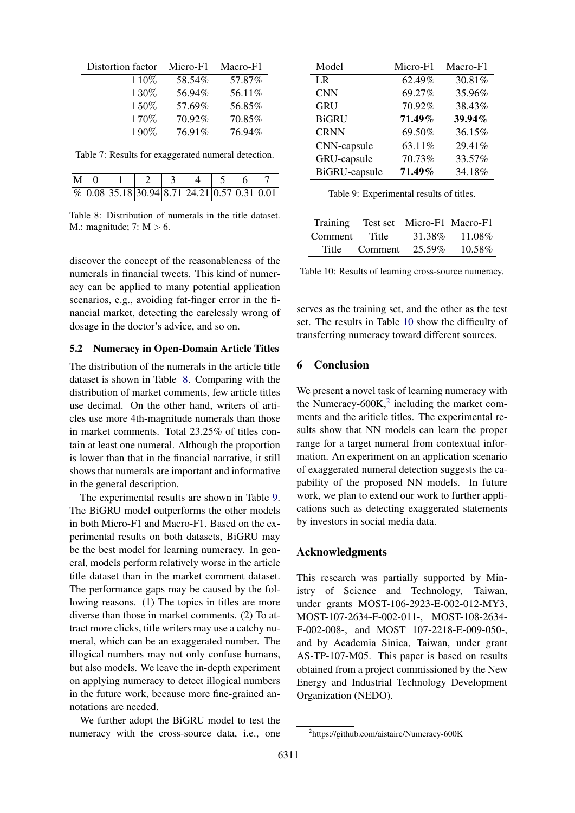<span id="page-4-0"></span>

| Distortion factor | Micro-F1 | Macro-F1 |
|-------------------|----------|----------|
| $\pm 10\%$        | 58.54%   | 57.87%   |
| $\pm 30\%$        | 56.94%   | 56.11%   |
| $\pm 50\%$        | 57.69%   | 56.85%   |
| $\pm 70\%$        | 70.92%   | 70.85%   |
| $\pm 90\%$        | 76.91%   | 76.94%   |

Table 7: Results for exaggerated numeral detection.

<span id="page-4-1"></span>

| $M \mid 0$ |                                                           |  |  |  |
|------------|-----------------------------------------------------------|--|--|--|
|            | $\frac{1}{\%}$ 0.08 35.18 30.94 8.71 24.21 0.57 0.31 0.01 |  |  |  |

Table 8: Distribution of numerals in the title dataset. M.: magnitude; 7:  $M > 6$ .

discover the concept of the reasonableness of the numerals in financial tweets. This kind of numeracy can be applied to many potential application scenarios, e.g., avoiding fat-finger error in the financial market, detecting the carelessly wrong of dosage in the doctor's advice, and so on.

#### 5.2 Numeracy in Open-Domain Article Titles

The distribution of the numerals in the article title dataset is shown in Table [8.](#page-4-1) Comparing with the distribution of market comments, few article titles use decimal. On the other hand, writers of articles use more 4th-magnitude numerals than those in market comments. Total 23.25% of titles contain at least one numeral. Although the proportion is lower than that in the financial narrative, it still shows that numerals are important and informative in the general description.

The experimental results are shown in Table [9.](#page-4-2) The BiGRU model outperforms the other models in both Micro-F1 and Macro-F1. Based on the experimental results on both datasets, BiGRU may be the best model for learning numeracy. In general, models perform relatively worse in the article title dataset than in the market comment dataset. The performance gaps may be caused by the following reasons. (1) The topics in titles are more diverse than those in market comments. (2) To attract more clicks, title writers may use a catchy numeral, which can be an exaggerated number. The illogical numbers may not only confuse humans, but also models. We leave the in-depth experiment on applying numeracy to detect illogical numbers in the future work, because more fine-grained annotations are needed.

We further adopt the BiGRU model to test the numeracy with the cross-source data, i.e., one

<span id="page-4-2"></span>

| Model                | Micro-F1 | Macro-F1 |
|----------------------|----------|----------|
| LR.                  | 62.49%   | 30.81%   |
| <b>CNN</b>           | 69.27%   | 35.96%   |
| <b>GRU</b>           | 70.92%   | 38.43%   |
| <b>BiGRU</b>         | 71.49%   | 39.94%   |
| <b>CRNN</b>          | 69.50%   | 36.15%   |
| CNN-capsule          | 63.11%   | 29.41%   |
| GRU-capsule          | 70.73%   | 33.57%   |
| <b>BiGRU-capsule</b> | 71.49%   | 34.18%   |

Table 9: Experimental results of titles.

<span id="page-4-3"></span>

| Training |         | Test set Micro-F1 Macro-F1 |        |
|----------|---------|----------------------------|--------|
| Comment  | Title   | 31.38%                     | 11.08% |
| Title    | Comment | 25.59%                     | 10.58% |

Table 10: Results of learning cross-source numeracy.

serves as the training set, and the other as the test set. The results in Table [10](#page-4-3) show the difficulty of transferring numeracy toward different sources.

# 6 Conclusion

We present a novel task of learning numeracy with the Numeracy- $600K<sub>1</sub><sup>2</sup>$  $600K<sub>1</sub><sup>2</sup>$  $600K<sub>1</sub><sup>2</sup>$  including the market comments and the ariticle titles. The experimental results show that NN models can learn the proper range for a target numeral from contextual information. An experiment on an application scenario of exaggerated numeral detection suggests the capability of the proposed NN models. In future work, we plan to extend our work to further applications such as detecting exaggerated statements by investors in social media data.

#### Acknowledgments

This research was partially supported by Ministry of Science and Technology, Taiwan, under grants MOST-106-2923-E-002-012-MY3, MOST-107-2634-F-002-011-, MOST-108-2634- F-002-008-, and MOST 107-2218-E-009-050-, and by Academia Sinica, Taiwan, under grant AS-TP-107-M05. This paper is based on results obtained from a project commissioned by the New Energy and Industrial Technology Development Organization (NEDO).

<span id="page-4-4"></span><sup>2</sup> https://github.com/aistairc/Numeracy-600K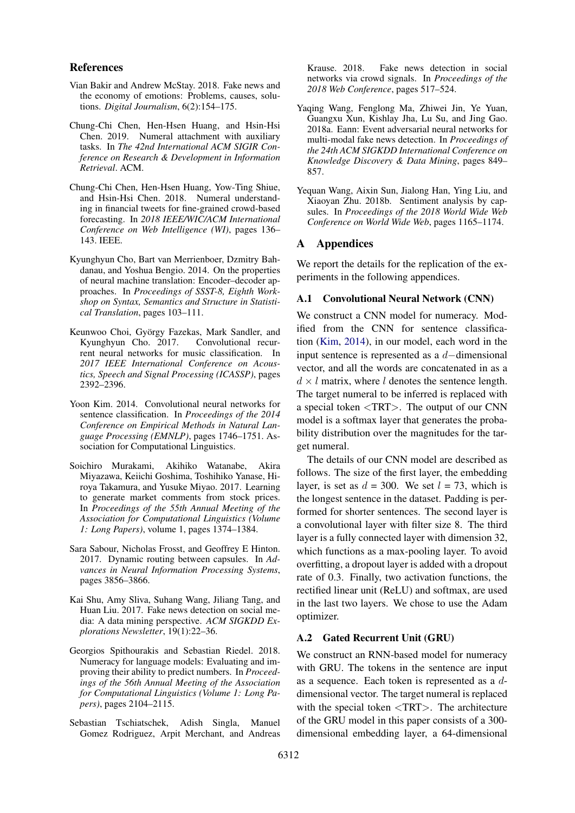#### References

- <span id="page-5-12"></span>Vian Bakir and Andrew McStay. 2018. Fake news and the economy of emotions: Problems, causes, solutions. *Digital Journalism*, 6(2):154–175.
- <span id="page-5-11"></span>Chung-Chi Chen, Hen-Hsen Huang, and Hsin-Hsi Chen. 2019. Numeral attachment with auxiliary tasks. In *The 42nd International ACM SIGIR Conference on Research & Development in Information Retrieval*. ACM.
- <span id="page-5-10"></span>Chung-Chi Chen, Hen-Hsen Huang, Yow-Ting Shiue, and Hsin-Hsi Chen. 2018. Numeral understanding in financial tweets for fine-grained crowd-based forecasting. In *2018 IEEE/WIC/ACM International Conference on Web Intelligence (WI)*, pages 136– 143. IEEE.
- <span id="page-5-6"></span>Kyunghyun Cho, Bart van Merrienboer, Dzmitry Bahdanau, and Yoshua Bengio. 2014. On the properties of neural machine translation: Encoder–decoder approaches. In *Proceedings of SSST-8, Eighth Workshop on Syntax, Semantics and Structure in Statistical Translation*, pages 103–111.
- <span id="page-5-7"></span>Keunwoo Choi, György Fazekas, Mark Sandler, and Kyunghyun Cho. 2017. Convolutional recurrent neural networks for music classification. In *2017 IEEE International Conference on Acoustics, Speech and Signal Processing (ICASSP)*, pages 2392–2396.
- <span id="page-5-5"></span>Yoon Kim. 2014. Convolutional neural networks for sentence classification. In *Proceedings of the 2014 Conference on Empirical Methods in Natural Language Processing (EMNLP)*, pages 1746–1751. Association for Computational Linguistics.
- <span id="page-5-0"></span>Soichiro Murakami, Akihiko Watanabe, Akira Miyazawa, Keiichi Goshima, Toshihiko Yanase, Hiroya Takamura, and Yusuke Miyao. 2017. Learning to generate market comments from stock prices. In *Proceedings of the 55th Annual Meeting of the Association for Computational Linguistics (Volume 1: Long Papers)*, volume 1, pages 1374–1384.
- <span id="page-5-8"></span>Sara Sabour, Nicholas Frosst, and Geoffrey E Hinton. 2017. Dynamic routing between capsules. In *Advances in Neural Information Processing Systems*, pages 3856–3866.
- <span id="page-5-4"></span>Kai Shu, Amy Sliva, Suhang Wang, Jiliang Tang, and Huan Liu. 2017. Fake news detection on social media: A data mining perspective. *ACM SIGKDD Explorations Newsletter*, 19(1):22–36.
- <span id="page-5-1"></span>Georgios Spithourakis and Sebastian Riedel. 2018. Numeracy for language models: Evaluating and improving their ability to predict numbers. In *Proceedings of the 56th Annual Meeting of the Association for Computational Linguistics (Volume 1: Long Papers)*, pages 2104–2115.
- <span id="page-5-3"></span>Sebastian Tschiatschek, Adish Singla, Manuel Gomez Rodriguez, Arpit Merchant, and Andreas

Krause. 2018. Fake news detection in social networks via crowd signals. In *Proceedings of the 2018 Web Conference*, pages 517–524.

- <span id="page-5-2"></span>Yaqing Wang, Fenglong Ma, Zhiwei Jin, Ye Yuan, Guangxu Xun, Kishlay Jha, Lu Su, and Jing Gao. 2018a. Eann: Event adversarial neural networks for multi-modal fake news detection. In *Proceedings of the 24th ACM SIGKDD International Conference on Knowledge Discovery & Data Mining*, pages 849– 857.
- <span id="page-5-9"></span>Yequan Wang, Aixin Sun, Jialong Han, Ying Liu, and Xiaoyan Zhu. 2018b. Sentiment analysis by capsules. In *Proceedings of the 2018 World Wide Web Conference on World Wide Web*, pages 1165–1174.

#### A Appendices

We report the details for the replication of the experiments in the following appendices.

#### A.1 Convolutional Neural Network (CNN)

We construct a CNN model for numeracy. Modified from the CNN for sentence classification [\(Kim,](#page-5-5) [2014\)](#page-5-5), in our model, each word in the input sentence is represented as a d−dimensional vector, and all the words are concatenated in as a  $d \times l$  matrix, where l denotes the sentence length. The target numeral to be inferred is replaced with a special token <TRT>. The output of our CNN model is a softmax layer that generates the probability distribution over the magnitudes for the target numeral.

The details of our CNN model are described as follows. The size of the first layer, the embedding layer, is set as  $d = 300$ . We set  $l = 73$ , which is the longest sentence in the dataset. Padding is performed for shorter sentences. The second layer is a convolutional layer with filter size 8. The third layer is a fully connected layer with dimension 32, which functions as a max-pooling layer. To avoid overfitting, a dropout layer is added with a dropout rate of 0.3. Finally, two activation functions, the rectified linear unit (ReLU) and softmax, are used in the last two layers. We chose to use the Adam optimizer.

### A.2 Gated Recurrent Unit (GRU)

We construct an RNN-based model for numeracy with GRU. The tokens in the sentence are input as a sequence. Each token is represented as a ddimensional vector. The target numeral is replaced with the special token <TRT>. The architecture of the GRU model in this paper consists of a 300 dimensional embedding layer, a 64-dimensional